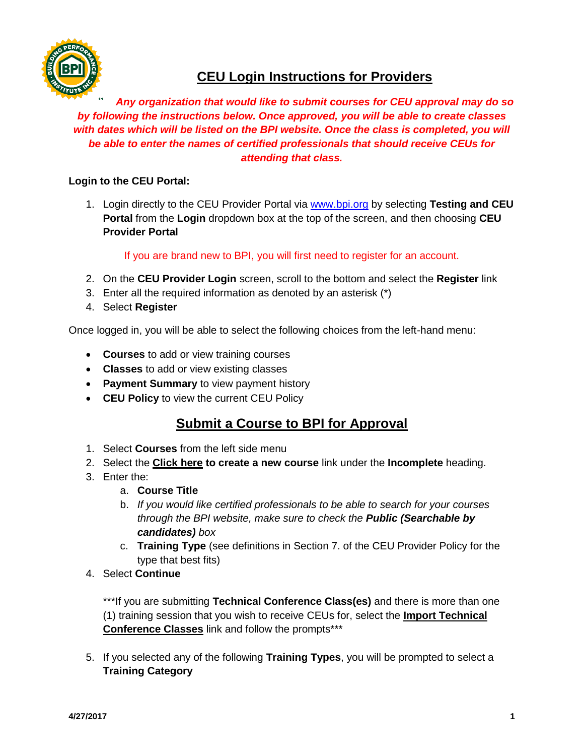

# **CEU Login Instructions for Providers**

#### *Any organization that would like to submit courses for CEU approval may do so by following the instructions below. Once approved, you will be able to create classes with dates which will be listed on the BPI website. Once the class is completed, you will be able to enter the names of certified professionals that should receive CEUs for attending that class.*

#### **Login to the CEU Portal:**

1. Login directly to the CEU Provider Portal via [www.bpi.org](http://www.bpi.org/) by selecting **Testing and CEU Portal** from the **Login** dropdown box at the top of the screen, and then choosing **CEU Provider Portal**

If you are brand new to BPI, you will first need to register for an account.

- 2. On the **CEU Provider Login** screen, scroll to the bottom and select the **Register** link
- 3. Enter all the required information as denoted by an asterisk (\*)
- 4. Select **Register**

Once logged in, you will be able to select the following choices from the left-hand menu:

- **Courses** to add or view training courses
- **Classes** to add or view existing classes
- **Payment Summary** to view payment history
- **CEU Policy** to view the current CEU Policy

### **Submit a Course to BPI for Approval**

- 1. Select **Courses** from the left side menu
- 2. Select the **Click here to create a new course** link under the **Incomplete** heading.
- 3. Enter the:
	- a. **Course Title**
	- b. *If you would like certified professionals to be able to search for your courses through the BPI website, make sure to check the Public (Searchable by candidates) box*
	- c. **Training Type** (see definitions in Section 7. of the CEU Provider Policy for the type that best fits)
- 4. Select **Continue**

\*\*\*If you are submitting **Technical Conference Class(es)** and there is more than one (1) training session that you wish to receive CEUs for, select the **Import Technical Conference Classes** link and follow the prompts\*\*\*

5. If you selected any of the following **Training Types**, you will be prompted to select a **Training Category**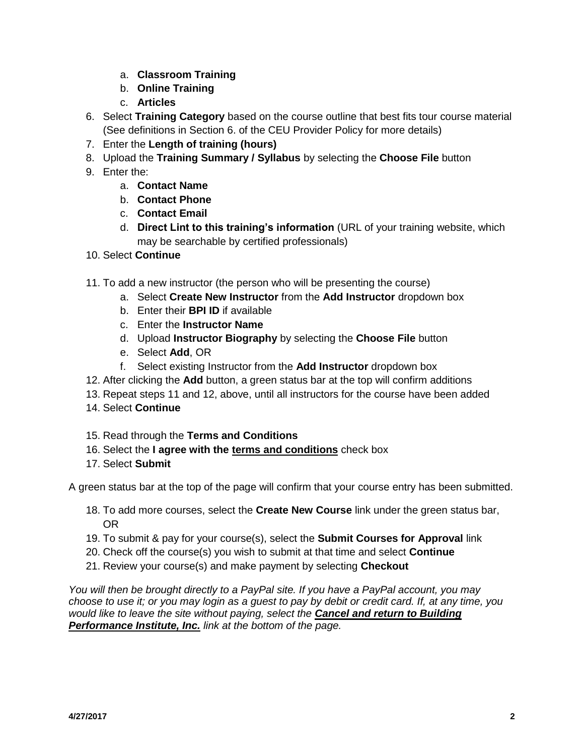- a. **Classroom Training**
- b. **Online Training**
- c. **Articles**
- 6. Select **Training Category** based on the course outline that best fits tour course material (See definitions in Section 6. of the CEU Provider Policy for more details)
- 7. Enter the **Length of training (hours)**
- 8. Upload the **Training Summary / Syllabus** by selecting the **Choose File** button
- 9. Enter the:
	- a. **Contact Name**
	- b. **Contact Phone**
	- c. **Contact Email**
	- d. **Direct Lint to this training's information** (URL of your training website, which may be searchable by certified professionals)
- 10. Select **Continue**
- 11. To add a new instructor (the person who will be presenting the course)
	- a. Select **Create New Instructor** from the **Add Instructor** dropdown box
	- b. Enter their **BPI ID** if available
	- c. Enter the **Instructor Name**
	- d. Upload **Instructor Biography** by selecting the **Choose File** button
	- e. Select **Add**, OR
	- f. Select existing Instructor from the **Add Instructor** dropdown box
- 12. After clicking the **Add** button, a green status bar at the top will confirm additions
- 13. Repeat steps 11 and 12, above, until all instructors for the course have been added
- 14. Select **Continue**
- 15. Read through the **Terms and Conditions**
- 16. Select the **I agree with the terms and conditions** check box
- 17. Select **Submit**

A green status bar at the top of the page will confirm that your course entry has been submitted.

- 18. To add more courses, select the **Create New Course** link under the green status bar, OR
- 19. To submit & pay for your course(s), select the **Submit Courses for Approval** link
- 20. Check off the course(s) you wish to submit at that time and select **Continue**
- 21. Review your course(s) and make payment by selecting **Checkout**

*You will then be brought directly to a PayPal site. If you have a PayPal account, you may choose to use it; or you may login as a guest to pay by debit or credit card. If, at any time, you would like to leave the site without paying, select the Cancel and return to Building Performance Institute, Inc. link at the bottom of the page.*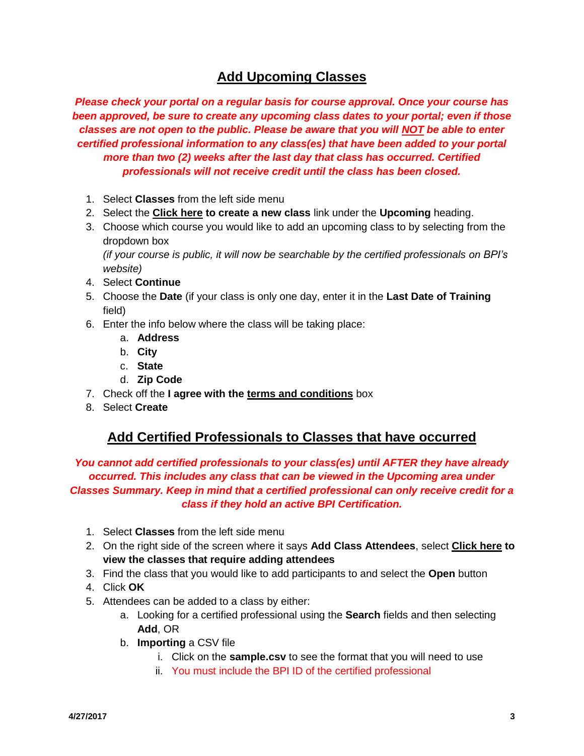## **Add Upcoming Classes**

*Please check your portal on a regular basis for course approval. Once your course has been approved, be sure to create any upcoming class dates to your portal; even if those classes are not open to the public. Please be aware that you will NOT be able to enter certified professional information to any class(es) that have been added to your portal more than two (2) weeks after the last day that class has occurred. Certified professionals will not receive credit until the class has been closed.*

- 1. Select **Classes** from the left side menu
- 2. Select the **Click here to create a new class** link under the **Upcoming** heading.
- 3. Choose which course you would like to add an upcoming class to by selecting from the dropdown box

*(if your course is public, it will now be searchable by the certified professionals on BPI's website)*

- 4. Select **Continue**
- 5. Choose the **Date** (if your class is only one day, enter it in the **Last Date of Training** field)
- 6. Enter the info below where the class will be taking place:
	- a. **Address**
	- b. **City**
	- c. **State**
	- d. **Zip Code**
- 7. Check off the **I agree with the terms and conditions** box
- 8. Select **Create**

### **Add Certified Professionals to Classes that have occurred**

*You cannot add certified professionals to your class(es) until AFTER they have already occurred. This includes any class that can be viewed in the Upcoming area under Classes Summary. Keep in mind that a certified professional can only receive credit for a class if they hold an active BPI Certification.*

- 1. Select **Classes** from the left side menu
- 2. On the right side of the screen where it says **Add Class Attendees**, select **Click here to view the classes that require adding attendees**
- 3. Find the class that you would like to add participants to and select the **Open** button
- 4. Click **OK**
- 5. Attendees can be added to a class by either:
	- a. Looking for a certified professional using the **Search** fields and then selecting **Add**, OR
	- b. **Importing** a CSV file
		- i. Click on the **sample.csv** to see the format that you will need to use
		- ii. You must include the BPI ID of the certified professional